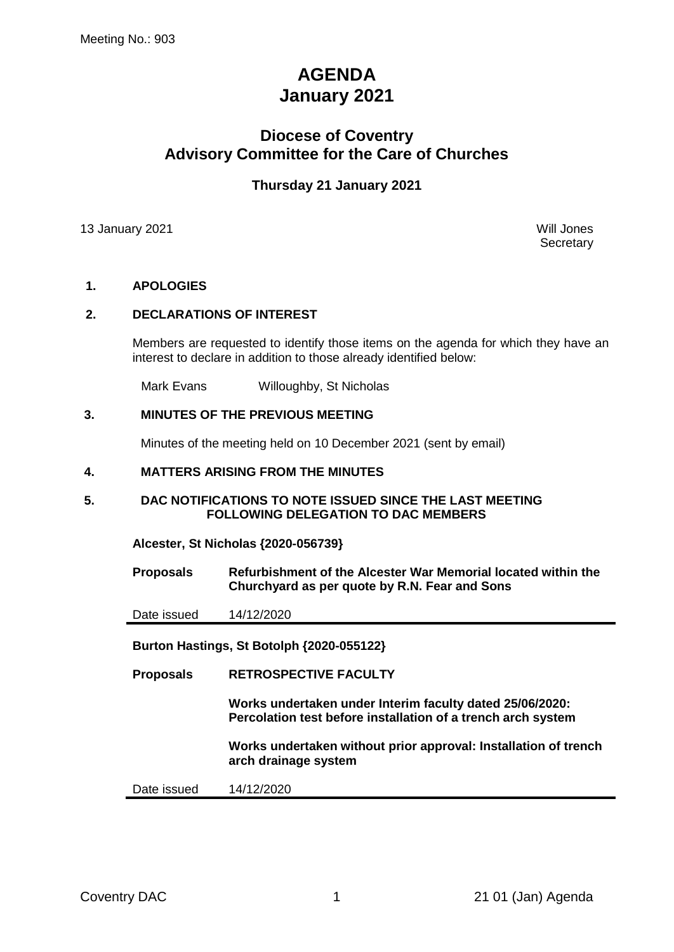# **AGENDA January 2021**

# **Diocese of Coventry Advisory Committee for the Care of Churches**

# **Thursday 21 January 2021**

13 January 2021 Will Jones

**Secretary** 

# **1. APOLOGIES**

# **2. DECLARATIONS OF INTEREST**

Members are requested to identify those items on the agenda for which they have an interest to declare in addition to those already identified below:

Mark Evans Willoughby, St Nicholas

# **3. MINUTES OF THE PREVIOUS MEETING**

Minutes of the meeting held on 10 December 2021 (sent by email)

#### **4. MATTERS ARISING FROM THE MINUTES**

#### **5. DAC NOTIFICATIONS TO NOTE ISSUED SINCE THE LAST MEETING FOLLOWING DELEGATION TO DAC MEMBERS**

**Alcester, St Nicholas {2020-056739}**

**Proposals Refurbishment of the Alcester War Memorial located within the Churchyard as per quote by R.N. Fear and Sons**

Date issued 14/12/2020

**Burton Hastings, St Botolph {2020-055122}**

**Proposals RETROSPECTIVE FACULTY** 

**Works undertaken under Interim faculty dated 25/06/2020: Percolation test before installation of a trench arch system**

**Works undertaken without prior approval: Installation of trench arch drainage system**

Date issued 14/12/2020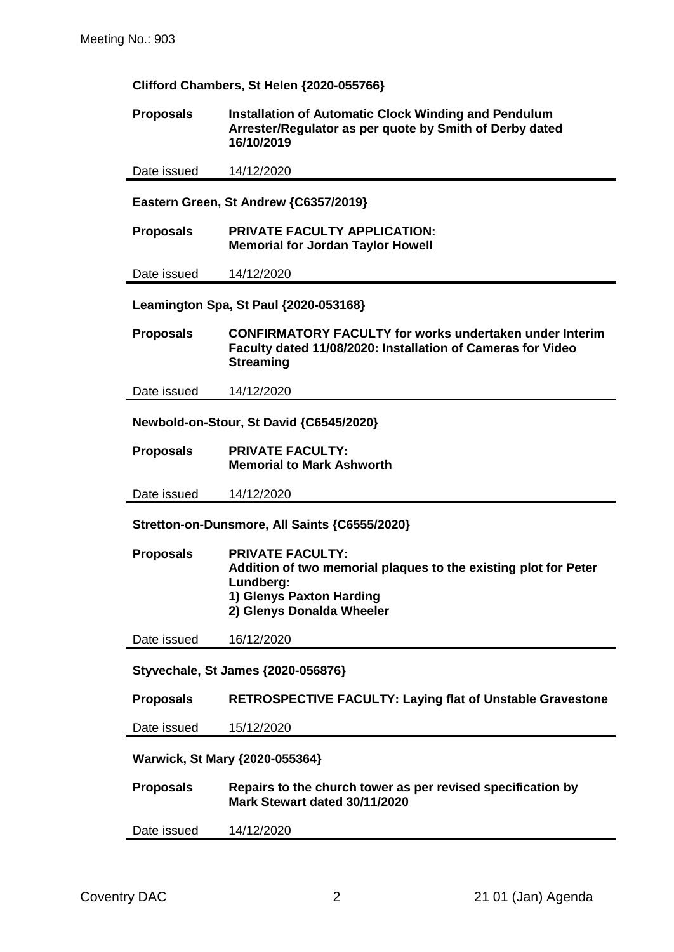|  | Clifford Chambers, St Helen {2020-055766} |
|--|-------------------------------------------|

**Proposals Installation of Automatic Clock Winding and Pendulum Arrester/Regulator as per quote by Smith of Derby dated 16/10/2019**

Date issued 14/12/2020

**Eastern Green, St Andrew {C6357/2019}**

**Proposals PRIVATE FACULTY APPLICATION: Memorial for Jordan Taylor Howell**

Date issued 14/12/2020

**Leamington Spa, St Paul {2020-053168}**

**Proposals CONFIRMATORY FACULTY for works undertaken under Interim Faculty dated 11/08/2020: Installation of Cameras for Video Streaming**

Date issued 14/12/2020

**Newbold-on-Stour, St David {C6545/2020}**

**Proposals PRIVATE FACULTY: Memorial to Mark Ashworth**

Date issued 14/12/2020

**Stretton-on-Dunsmore, All Saints {C6555/2020}**

| <b>Proposals</b> | <b>PRIVATE FACULTY:</b>                                         |
|------------------|-----------------------------------------------------------------|
|                  | Addition of two memorial plaques to the existing plot for Peter |
|                  | Lundbera:                                                       |
|                  | 1) Glenys Paxton Harding                                        |
|                  | 2) Glenys Donalda Wheeler                                       |
|                  |                                                                 |

Date issued 16/12/2020

**Styvechale, St James {2020-056876}**

**Proposals RETROSPECTIVE FACULTY: Laying flat of Unstable Gravestone**

Date issued 15/12/2020

**Warwick, St Mary {2020-055364}**

**Proposals Repairs to the church tower as per revised specification by Mark Stewart dated 30/11/2020**

Date issued 14/12/2020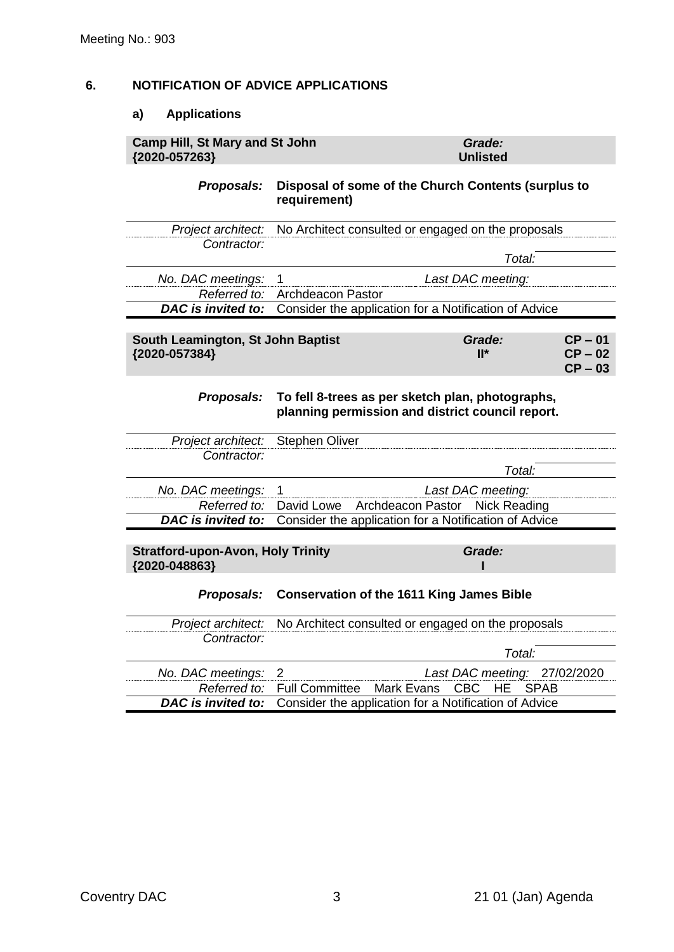# **6. NOTIFICATION OF ADVICE APPLICATIONS**

#### **a) Applications**

#### **Camp Hill, St Mary and St John {2020-057263}** *Grade:* **Unlisted**

### *Proposals:* **Disposal of some of the Church Contents (surplus to requirement)**

|                     | Project architect: No Architect consulted or engaged on the proposals                  |
|---------------------|----------------------------------------------------------------------------------------|
| Contractor:         |                                                                                        |
|                     | Total:                                                                                 |
| No. DAC meetings: 1 | Last DAC meeting:                                                                      |
|                     | Referred to: Archdeacon Pastor                                                         |
|                     | <b>DAC</b> is <i>invited to:</i> Consider the application for a Notification of Advice |

| South Leamington, St John Baptist | Grade:          | $CP - 01$ |
|-----------------------------------|-----------------|-----------|
| {2020-057384}                     | $\mathbf{II}^*$ | $CP-02$   |
|                                   |                 | $CP - 03$ |

#### *Proposals:* **To fell 8-trees as per sketch plan, photographs, planning permission and district council report.**

| Project architect: Stephen Oliver                         |                                                                                 |                   |
|-----------------------------------------------------------|---------------------------------------------------------------------------------|-------------------|
| Contractor:                                               |                                                                                 |                   |
|                                                           |                                                                                 | Total:            |
| No. DAC meetings: 1                                       |                                                                                 | Last DAC meeting: |
|                                                           | Referred to: David Lowe Archdeacon Pastor Nick Reading                          |                   |
|                                                           | <b>DAC is invited to:</b> Consider the application for a Notification of Advice |                   |
|                                                           |                                                                                 |                   |
| <b>Stratford-upon-Avon, Holy Trinity</b><br>{2020-048863} |                                                                                 | Grade:            |

#### *Proposals:* **Conservation of the 1611 King James Bible**

|                     | <i>Project architect:</i> No Architect consulted or engaged on the proposals |                                                                                 |  |  |
|---------------------|------------------------------------------------------------------------------|---------------------------------------------------------------------------------|--|--|
| Contractor:         |                                                                              |                                                                                 |  |  |
|                     |                                                                              | Total:                                                                          |  |  |
| No. DAC meetings: 2 |                                                                              | Last DAC meeting: 27/02/2020                                                    |  |  |
|                     |                                                                              | Referred to: Full Committee Mark Evans CBC HE SPAB                              |  |  |
|                     |                                                                              | <b>DAC is invited to:</b> Consider the application for a Notification of Advice |  |  |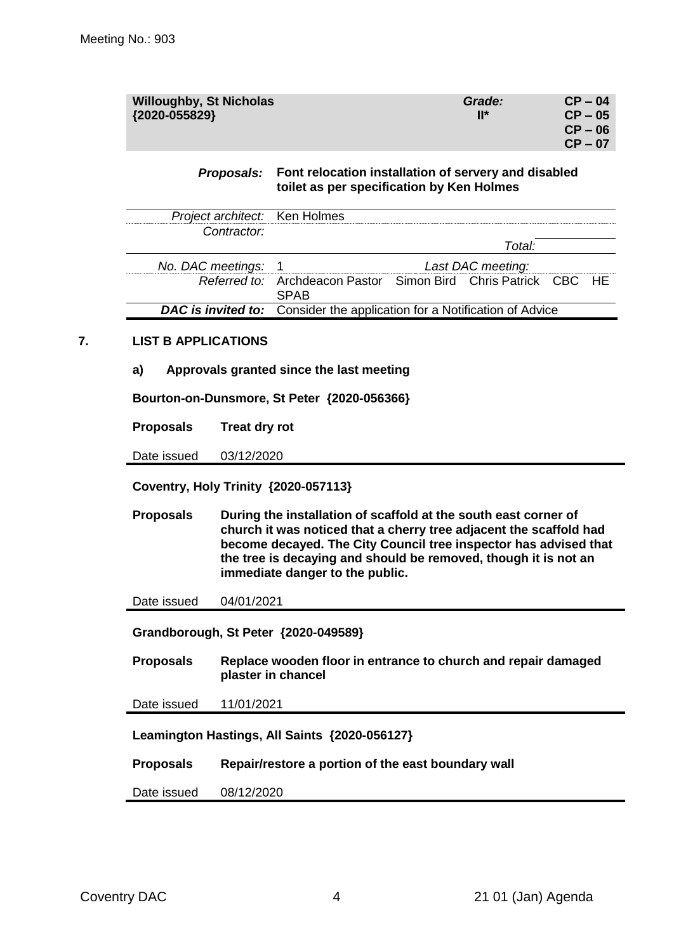| <b>Willoughby, St Nicholas</b><br>{2020-055829} | Grade:<br>$\mathbf{H}^*$ | $CP - 04$<br>$CP - 05$<br>$CP - 06$<br>$CP - 07$ |
|-------------------------------------------------|--------------------------|--------------------------------------------------|
|                                                 |                          |                                                  |

#### *Proposals:* **Font relocation installation of servery and disabled toilet as per specification by Ken Holmes**

| Project architect: Ken Holmes |                                                                                 |  |        |  |  |
|-------------------------------|---------------------------------------------------------------------------------|--|--------|--|--|
| Contractor:                   |                                                                                 |  |        |  |  |
|                               |                                                                                 |  | Total: |  |  |
| No. DAC meetings: 1           | Last DAC meeting:                                                               |  |        |  |  |
|                               | Referred to: Archdeacon Pastor Simon Bird Chris Patrick CBC HE<br><b>SPAR</b>   |  |        |  |  |
|                               | <b>DAC is invited to:</b> Consider the application for a Notification of Advice |  |        |  |  |

#### **7. LIST B APPLICATIONS**

**a) Approvals granted since the last meeting**

**Bourton-on-Dunsmore, St Peter {2020-056366}**

**Proposals Treat dry rot**

Date issued 03/12/2020

**Coventry, Holy Trinity {2020-057113}**

**Proposals During the installation of scaffold at the south east corner of church it was noticed that a cherry tree adjacent the scaffold had become decayed. The City Council tree inspector has advised that the tree is decaying and should be removed, though it is not an immediate danger to the public.**

Date issued 04/01/2021

**Grandborough, St Peter {2020-049589}**

**Proposals Replace wooden floor in entrance to church and repair damaged plaster in chancel**

Date issued 11/01/2021

**Leamington Hastings, All Saints {2020-056127}**

**Proposals Repair/restore a portion of the east boundary wall**

Date issued 08/12/2020